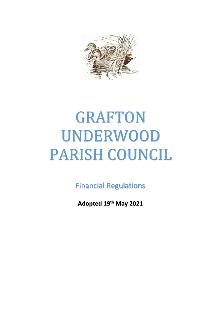

# GRAFTON UNDERWOOD PARISH COUNCIL

Financial Regulations

**Adopted 19th May 2021**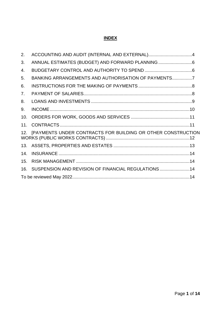## **INDEX**

| 2.  | ACCOUNTING AND AUDIT (INTERNAL AND EXTERNAL)4                |  |
|-----|--------------------------------------------------------------|--|
| 3.  |                                                              |  |
| 4.  |                                                              |  |
| 5.  | BANKING ARRANGEMENTS AND AUTHORISATION OF PAYMENTS7          |  |
| 6.  |                                                              |  |
| 7.  |                                                              |  |
| 8.  |                                                              |  |
| 9.  |                                                              |  |
| 10. |                                                              |  |
| 11. |                                                              |  |
| 12. | [PAYMENTS UNDER CONTRACTS FOR BUILDING OR OTHER CONSTRUCTION |  |
| 13. |                                                              |  |
| 14. |                                                              |  |
| 15. |                                                              |  |
| 16. | SUSPENSION AND REVISION OF FINANCIAL REGULATIONS  14         |  |
|     |                                                              |  |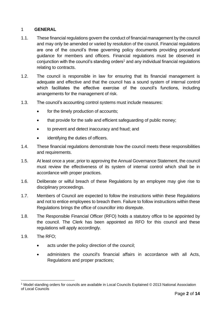## 1 **GENERAL**

- 1.1. These financial regulations govern the conduct of financial management by the council and may only be amended or varied by resolution of the council. Financial regulations are one of the council's three governing policy documents providing procedural guidance for members and officers. Financial regulations must be observed in conjunction with the council's standing orders<sup>1</sup> and any individual financial regulations relating to contracts.
- 1.2. The council is responsible in law for ensuring that its financial management is adequate and effective and that the council has a sound system of internal control which facilitates the effective exercise of the council's functions, including arrangements for the management of risk.
- 1.3. The council's accounting control systems must include measures:
	- for the timely production of accounts;
	- that provide for the safe and efficient safeguarding of public money;
	- to prevent and detect inaccuracy and fraud; and
	- identifying the duties of officers.
- 1.4. These financial regulations demonstrate how the council meets these responsibilities and requirements.
- 1.5. At least once a year, prior to approving the Annual Governance Statement, the council must review the effectiveness of its system of internal control which shall be in accordance with proper practices.
- 1.6. Deliberate or wilful breach of these Regulations by an employee may give rise to disciplinary proceedings.
- 1.7. Members of Council are expected to follow the instructions within these Regulations and not to entice employees to breach them. Failure to follow instructions within these Regulations brings the office of councillor into disrepute.
- 1.8. The Responsible Financial Officer (RFO) holds a statutory office to be appointed by the council. The Clerk has been appointed as RFO for this council and these regulations will apply accordingly.
- 1.9. The RFO;
	- acts under the policy direction of the council;
	- administers the council's financial affairs in accordance with all Acts, Regulations and proper practices;

<sup>1</sup> Model standing orders for councils are available in Local Councils Explained © 2013 National Association of Local Councils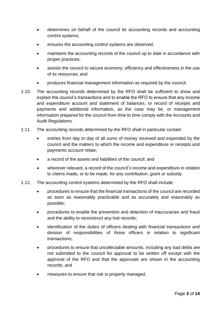- determines on behalf of the council its accounting records and accounting control systems;
- ensures the accounting control systems are observed;
- maintains the accounting records of the council up to date in accordance with proper practices;
- assists the council to secure economy, efficiency and effectiveness in the use of its resources; and
- produces financial management information as required by the council.
- 1.10. The accounting records determined by the RFO shall be sufficient to show and explain the council's transactions and to enable the RFO to ensure that any income and expenditure account and statement of balances, or record of receipts and payments and additional information, as the case may be, or management information prepared for the council from time to time comply with the Accounts and Audit Regulations.
- 1.11. The accounting records determined by the RFO shall in particular contain:
	- entries from day to day of all sums of money received and expended by the council and the matters to which the income and expenditure or receipts and payments account relate;
	- a record of the assets and liabilities of the council; and
	- wherever relevant, a record of the council's income and expenditure in relation to claims made, or to be made, for any contribution, grant or subsidy.
- 1.12. The accounting control systems determined by the RFO shall include:
	- procedures to ensure that the financial transactions of the council are recorded as soon as reasonably practicable and as accurately and reasonably as possible;
	- procedures to enable the prevention and detection of inaccuracies and fraud and the ability to reconstruct any lost records;
	- identification of the duties of officers dealing with financial transactions and division of responsibilities of those officers in relation to significant transactions;
	- procedures to ensure that uncollectable amounts, including any bad debts are not submitted to the council for approval to be written off except with the approval of the RFO and that the approvals are shown in the accounting records; and
	- measures to ensure that risk is properly managed.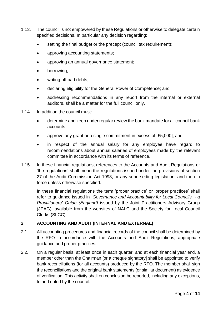- 1.13. The council is not empowered by these Regulations or otherwise to delegate certain specified decisions. In particular any decision regarding:
	- setting the final budget or the precept (council tax requirement);
	- approving accounting statements;
	- approving an annual governance statement;
	- borrowing;
	- writing off bad debts;
	- declaring eligibility for the General Power of Competence; and
	- addressing recommendations in any report from the internal or external auditors, shall be a matter for the full council only.
- 1.14. In addition the council must:
	- determine and keep under regular review the bank mandate for all council bank accounts;
	- approve any grant or a single commitment in excess of [£5,000]; and
	- in respect of the annual salary for any employee have regard to recommendations about annual salaries of employees made by the relevant committee in accordance with its terms of reference.
- 1.15. In these financial regulations, references to the Accounts and Audit Regulations or 'the regulations' shall mean the regulations issued under the provisions of section 27 of the Audit Commission Act 1998, or any superseding legislation, and then in force unless otherwise specified.

In these financial regulations the term 'proper practice' or 'proper practices' shall refer to guidance issued in *Governance and Accountability for Local Councils - a Practitioners' Guide (England)* issued by the Joint Practitioners Advisory Group (JPAG), available from the websites of NALC and the Society for Local Council Clerks (SLCC).

## <span id="page-4-0"></span>**2. ACCOUNTING AND AUDIT (INTERNAL AND EXTERNAL)**

- 2.1. All accounting procedures and financial records of the council shall be determined by the RFO in accordance with the Accounts and Audit Regulations, appropriate guidance and proper practices.
- 2.2. On a regular basis, at least once in each quarter, and at each financial year end, a member other than the Chairman [or a cheque signatory] shall be appointed to verify bank reconciliations (for all accounts) produced by the RFO. The member shall sign the reconciliations and the original bank statements (or similar document) as evidence of verification. This activity shall on conclusion be reported, including any exceptions, to and noted by the council.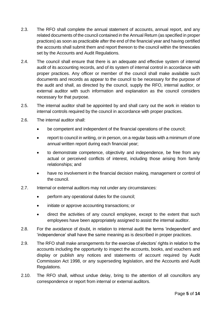- 2.3. The RFO shall complete the annual statement of accounts, annual report, and any related documents of the council contained in the Annual Return (as specified in proper practices) as soon as practicable after the end of the financial year and having certified the accounts shall submit them and report thereon to the council within the timescales set by the Accounts and Audit Regulations.
- 2.4. The council shall ensure that there is an adequate and effective system of internal audit of its accounting records, and of its system of internal control in accordance with proper practices. Any officer or member of the council shall make available such documents and records as appear to the council to be necessary for the purpose of the audit and shall, as directed by the council, supply the RFO, internal auditor, or external auditor with such information and explanation as the council considers necessary for that purpose.
- 2.5. The internal auditor shall be appointed by and shall carry out the work in relation to internal controls required by the council in accordance with proper practices.
- 2.6. The internal auditor shall:
	- be competent and independent of the financial operations of the council:
	- report to council in writing, or in person, on a regular basis with a minimum of one annual written report during each financial year;
	- to demonstrate competence, objectivity and independence, be free from any actual or perceived conflicts of interest, including those arising from family relationships; and
	- have no involvement in the financial decision making, management or control of the council.
- 2.7. Internal or external auditors may not under any circumstances:
	- perform any operational duties for the council;
	- initiate or approve accounting transactions; or
	- direct the activities of any council employee, except to the extent that such employees have been appropriately assigned to assist the internal auditor.
- 2.8. For the avoidance of doubt, in relation to internal audit the terms 'independent' and 'independence' shall have the same meaning as is described in proper practices.
- 2.9. The RFO shall make arrangements for the exercise of electors' rights in relation to the accounts including the opportunity to inspect the accounts, books, and vouchers and display or publish any notices and statements of account required by Audit Commission Act 1998, or any superseding legislation, and the Accounts and Audit Regulations.
- 2.10. The RFO shall, without undue delay, bring to the attention of all councillors any correspondence or report from internal or external auditors.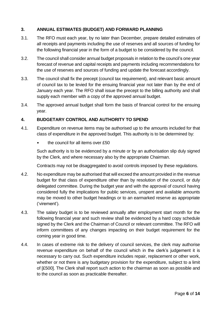# <span id="page-6-0"></span>**3. ANNUAL ESTIMATES (BUDGET) AND FORWARD PLANNING**

- 3.1. The RFO must each year, by no later than December, prepare detailed estimates of all receipts and payments including the use of reserves and all sources of funding for the following financial year in the form of a budget to be considered by the council.
- 3.2. The council shall consider annual budget proposals in relation to the council's one year forecast of revenue and capital receipts and payments including recommendations for the use of reserves and sources of funding and update the forecast accordingly.
- 3.3. The council shall fix the precept (council tax requirement), and relevant basic amount of council tax to be levied for the ensuing financial year not later than by the end of January each year. The RFO shall issue the precept to the billing authority and shall supply each member with a copy of the approved annual budget.
- 3.4. The approved annual budget shall form the basis of financial control for the ensuing year.

#### <span id="page-6-1"></span>**4. BUDGETARY CONTROL AND AUTHORITY TO SPEND**

- 4.1. Expenditure on revenue items may be authorised up to the amounts included for that class of expenditure in the approved budget. This authority is to be determined by:
	- the council for all items over £50

Such authority is to be evidenced by a minute or by an authorisation slip duly signed by the Clerk, and where necessary also by the appropriate Chairman.

Contracts may not be disaggregated to avoid controls imposed by these regulations.

- 4.2. No expenditure may be authorised that will exceed the amount provided in the revenue budget for that class of expenditure other than by resolution of the council, or duly delegated committee. During the budget year and with the approval of council having considered fully the implications for public services, unspent and available amounts may be moved to other budget headings or to an earmarked reserve as appropriate ('virement').
- 4.3. The salary budget is to be reviewed annually after employment start month for the following financial year and such review shall be evidenced by a hard copy schedule signed by the Clerk and the Chairman of Council or relevant committee. The RFO will inform committees of any changes impacting on their budget requirement for the coming year in good time.
- 4.4. In cases of extreme risk to the delivery of council services, the clerk may authorise revenue expenditure on behalf of the council which in the clerk's judgement it is necessary to carry out. Such expenditure includes repair, replacement or other work, whether or not there is any budgetary provision for the expenditure, subject to a limit of [£500]. The Clerk shall report such action to the chairman as soon as possible and to the council as soon as practicable thereafter.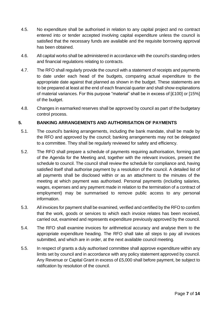- 4.5. No expenditure shall be authorised in relation to any capital project and no contract entered into or tender accepted involving capital expenditure unless the council is satisfied that the necessary funds are available and the requisite borrowing approval has been obtained.
- 4.6. All capital works shall be administered in accordance with the council's standing orders and financial regulations relating to contracts.
- 4.7. The RFO shall regularly provide the council with a statement of receipts and payments to date under each head of the budgets, comparing actual expenditure to the appropriate date against that planned as shown in the budget. These statements are to be prepared at least at the end of each financial quarter and shall show explanations of material variances. For this purpose "material" shall be in excess of [£100] or [15%] of the budget.
- 4.8. Changes in earmarked reserves shall be approved by council as part of the budgetary control process.

## <span id="page-7-0"></span>**5. BANKING ARRANGEMENTS AND AUTHORISATION OF PAYMENTS**

- 5.1. The council's banking arrangements, including the bank mandate, shall be made by the RFO and approved by the council; banking arrangements may not be delegated to a committee. They shall be regularly reviewed for safety and efficiency.
- 5.2. The RFO shall prepare a schedule of payments requiring authorisation, forming part of the Agenda for the Meeting and, together with the relevant invoices, present the schedule to council. The council shall review the schedule for compliance and, having satisfied itself shall authorise payment by a resolution of the council. A detailed list of all payments shall be disclosed within or as an attachment to the minutes of the meeting at which payment was authorised. Personal payments (including salaries, wages, expenses and any payment made in relation to the termination of a contract of employment) may be summarised to remove public access to any personal information.
- 5.3. All invoices for payment shall be examined, verified and certified by the RFO to confirm that the work, goods or services to which each invoice relates has been received, carried out, examined and represents expenditure previously approved by the council.
- 5.4. The RFO shall examine invoices for arithmetical accuracy and analyse them to the appropriate expenditure heading. The RFO shall take all steps to pay all invoices submitted, and which are in order, at the next available council meeting.
- 5.5. In respect of grants a duly authorised committee shall approve expenditure within any limits set by council and in accordance with any policy statement approved by council. Any Revenue or Capital Grant in excess of £5,000 shall before payment, be subject to ratification by resolution of the council.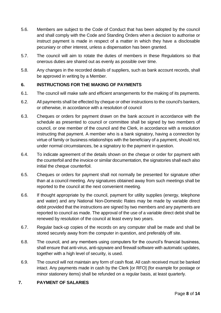- 5.6. Members are subject to the Code of Conduct that has been adopted by the council and shall comply with the Code and Standing Orders when a decision to authorise or instruct payment is made in respect of a matter in which they have a disclosable pecuniary or other interest, unless a dispensation has been granted.
- 5.7. The council will aim to rotate the duties of members in these Regulations so that onerous duties are shared out as evenly as possible over time.
- 5.8. Any changes in the recorded details of suppliers, such as bank account records, shall be approved in writing by a Member.

# <span id="page-8-0"></span>**6. INSTRUCTIONS FOR THE MAKING OF PAYMENTS**

- 6.1. The council will make safe and efficient arrangements for the making of its payments.
- 6.2. All payments shall be effected by cheque or other instructions to the council's bankers, or otherwise, in accordance with a resolution of council
- 6.3. Cheques or orders for payment drawn on the bank account in accordance with the schedule as presented to council or committee shall be signed by two members of council, or one member of the council and the Clerk, in accordance with a resolution instructing that payment. A member who is a bank signatory, having a connection by virtue of family or business relationships with the beneficiary of a payment, should not, under normal circumstances, be a signatory to the payment in question.
- 6.4. To indicate agreement of the details shown on the cheque or order for payment with the counterfoil and the invoice or similar documentation, the signatories shall each also initial the cheque counterfoil.
- 6.5. Cheques or orders for payment shall not normally be presented for signature other than at a council meeting. Any signatures obtained away from such meetings shall be reported to the council at the next convenient meeting.
- 6.6. If thought appropriate by the council, payment for utility supplies (energy, telephone and water) and any National Non-Domestic Rates may be made by variable direct debit provided that the instructions are signed by two members and any payments are reported to council as made. The approval of the use of a variable direct debit shall be renewed by resolution of the council at least every two years.
- 6.7. Regular back-up copies of the records on any computer shall be made and shall be stored securely away from the computer in question, and preferably off site.
- 6.8. The council, and any members using computers for the council's financial business, shall ensure that anti-virus, anti-spyware and firewall software with automatic updates, together with a high level of security, is used.
- 6.9. The council will not maintain any form of cash float. All cash received must be banked intact. Any payments made in cash by the Clerk [or RFO] (for example for postage or minor stationery items) shall be refunded on a regular basis, at least quarterly.

## <span id="page-8-1"></span>**7. PAYMENT OF SALARIES**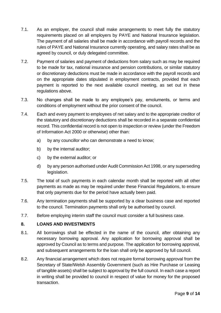- 7.1. As an employer, the council shall make arrangements to meet fully the statutory requirements placed on all employers by PAYE and National Insurance legislation. The payment of all salaries shall be made in accordance with payroll records and the rules of PAYE and National Insurance currently operating, and salary rates shall be as agreed by council, or duly delegated committee.
- 7.2. Payment of salaries and payment of deductions from salary such as may be required to be made for tax, national insurance and pension contributions, or similar statutory or discretionary deductions must be made in accordance with the payroll records and on the appropriate dates stipulated in employment contracts, provided that each payment is reported to the next available council meeting, as set out in these regulations above.
- 7.3. No changes shall be made to any employee's pay, emoluments, or terms and conditions of employment without the prior consent of the council.
- 7.4. Each and every payment to employees of net salary and to the appropriate creditor of the statutory and discretionary deductions shall be recorded in a separate confidential record. This confidential record is not open to inspection or review (under the Freedom of Information Act 2000 or otherwise) other than:
	- a) by any councillor who can demonstrate a need to know;
	- b) by the internal auditor;
	- c) by the external auditor; or
	- d) by any person authorised under Audit Commission Act 1998, or any superseding legislation.
- 7.5. The total of such payments in each calendar month shall be reported with all other payments as made as may be required under these Financial Regulations, to ensure that only payments due for the period have actually been paid.
- 7.6. Any termination payments shall be supported by a clear business case and reported to the council. Termination payments shall only be authorised by council.
- 7.7. Before employing interim staff the council must consider a full business case.

## <span id="page-9-0"></span>**8. LOANS AND INVESTMENTS**

- 8.1. All borrowings shall be effected in the name of the council, after obtaining any necessary borrowing approval. Any application for borrowing approval shall be approved by Council as to terms and purpose. The application for borrowing approval, and subsequent arrangements for the loan shall only be approved by full council.
- 8.2. Any financial arrangement which does not require formal borrowing approval from the Secretary of State/Welsh Assembly Government (such as Hire Purchase or Leasing of tangible assets) shall be subject to approval by the full council. In each case a report in writing shall be provided to council in respect of value for money for the proposed transaction.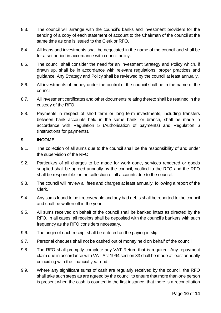- 8.3. The council will arrange with the council's banks and investment providers for the sending of a copy of each statement of account to the Chairman of the council at the same time as one is issued to the Clerk or RFO.
- 8.4. All loans and investments shall be negotiated in the name of the council and shall be for a set period in accordance with council policy.
- 8.5. The council shall consider the need for an Investment Strategy and Policy which, if drawn up, shall be in accordance with relevant regulations, proper practices and guidance. Any Strategy and Policy shall be reviewed by the council at least annually.
- 8.6. All investments of money under the control of the council shall be in the name of the council.
- 8.7. All investment certificates and other documents relating thereto shall be retained in the custody of the RFO.
- 8.8. Payments in respect of short term or long term investments, including transfers between bank accounts held in the same bank, or branch, shall be made in accordance with Regulation 5 (Authorisation of payments) and Regulation 6 (Instructions for payments).

#### <span id="page-10-0"></span>**9. INCOME**

- 9.1. The collection of all sums due to the council shall be the responsibility of and under the supervision of the RFO.
- 9.2. Particulars of all charges to be made for work done, services rendered or goods supplied shall be agreed annually by the council, notified to the RFO and the RFO shall be responsible for the collection of all accounts due to the council.
- 9.3. The council will review all fees and charges at least annually, following a report of the Clerk.
- 9.4. Any sums found to be irrecoverable and any bad debts shall be reported to the council and shall be written off in the year.
- 9.5. All sums received on behalf of the council shall be banked intact as directed by the RFO. In all cases, all receipts shall be deposited with the council's bankers with such frequency as the RFO considers necessary.
- 9.6. The origin of each receipt shall be entered on the paying-in slip.
- 9.7. Personal cheques shall not be cashed out of money held on behalf of the council.
- 9.8. The RFO shall promptly complete any VAT Return that is required. Any repayment claim due in accordance with VAT Act 1994 section 33 shall be made at least annually coinciding with the financial year end.
- 9.9. Where any significant sums of cash are regularly received by the council, the RFO shall take such steps as are agreed by the council to ensure that more than one person is present when the cash is counted in the first instance, that there is a reconciliation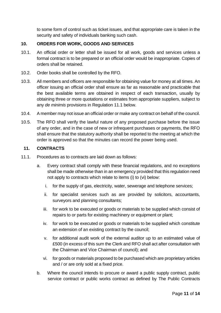to some form of control such as ticket issues, and that appropriate care is taken in the security and safety of individuals banking such cash.

#### <span id="page-11-0"></span>**10. ORDERS FOR WORK, GOODS AND SERVICES**

- 10.1. An official order or letter shall be issued for all work, goods and services unless a formal contract is to be prepared or an official order would be inappropriate. Copies of orders shall be retained.
- 10.2. Order books shall be controlled by the RFO.
- 10.3. All members and officers are responsible for obtaining value for money at all times. An officer issuing an official order shall ensure as far as reasonable and practicable that the best available terms are obtained in respect of each transaction, usually by obtaining three or more quotations or estimates from appropriate suppliers, subject to any *de minimis* provisions in Regulation 11.1 below.
- 10.4. A member may not issue an official order or make any contract on behalf of the council.
- 10.5. The RFO shall verify the lawful nature of any proposed purchase before the issue of any order, and in the case of new or infrequent purchases or payments, the RFO shall ensure that the statutory authority shall be reported to the meeting at which the order is approved so that the minutes can record the power being used.

#### <span id="page-11-1"></span>**11. CONTRACTS**

- 11.1. Procedures as to contracts are laid down as follows:
	- a. Every contract shall comply with these financial regulations, and no exceptions shall be made otherwise than in an emergency provided that this regulation need not apply to contracts which relate to items (i) to (vi) below:
		- i. for the supply of gas, electricity, water, sewerage and telephone services;
		- ii. for specialist services such as are provided by solicitors, accountants, surveyors and planning consultants;
		- iii. for work to be executed or goods or materials to be supplied which consist of repairs to or parts for existing machinery or equipment or plant;
		- iv. for work to be executed or goods or materials to be supplied which constitute an extension of an existing contract by the council;
		- v. for additional audit work of the external auditor up to an estimated value of £500 (in excess of this sum the Clerk and RFO shall act after consultation with the Chairman and Vice Chairman of council); and
		- vi. for goods or materials proposed to be purchased which are proprietary articles and / or are only sold at a fixed price.
	- b. Where the council intends to procure or award a public supply contract, public service contract or public works contract as defined by The Public Contracts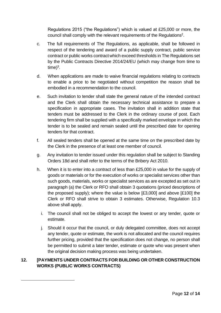Regulations 2015 ("the Regulations") which is valued at £25,000 or more, the council shall comply with the relevant requirements of the Regulations<sup>2</sup>.

- c. The full requirements of The Regulations, as applicable, shall be followed in respect of the tendering and award of a public supply contract, public service contract or public works contractwhich exceed thresholds in The Regulations set by the Public Contracts Directive 2014/24/EU (which may change from time to  $time)^3$ .
- d. When applications are made to waive financial regulations relating to contracts to enable a price to be negotiated without competition the reason shall be embodied in a recommendation to the council.
- e. Such invitation to tender shall state the general nature of the intended contract and the Clerk shall obtain the necessary technical assistance to prepare a specification in appropriate cases. The invitation shall in addition state that tenders must be addressed to the Clerk in the ordinary course of post. Each tendering firm shall be supplied with a specifically marked envelope in which the tender is to be sealed and remain sealed until the prescribed date for opening tenders for that contract.
- f. All sealed tenders shall be opened at the same time on the prescribed date by the Clerk in the presence of at least one member of council.
- g. Any invitation to tender issued under this regulation shall be subject to Standing Orders 18d and shall refer to the terms of the Bribery Act 2010.
- h. When it is to enter into a contract of less than £25,000 in value for the supply of goods or materials or for the execution of works or specialist services other than such goods, materials, works or specialist services as are excepted as set out in paragraph (a) the Clerk or RFO shall obtain 3 quotations (priced descriptions of the proposed supply); where the value is below [£3,000] and above [£100] the Clerk or RFO shall strive to obtain 3 estimates. Otherwise, Regulation 10.3 above shall apply.
	- i. The council shall not be obliged to accept the lowest or any tender, quote or estimate.
	- j. Should it occur that the council, or duly delegated committee, does not accept any tender, quote or estimate, the work is not allocated and the council requires further pricing, provided that the specification does not change, no person shall be permitted to submit a later tender, estimate or quote who was present when the original decision making process was being undertaken.

# <span id="page-12-0"></span>**12. [PAYMENTS UNDER CONTRACTS FOR BUILDING OR OTHER CONSTRUCTION WORKS (PUBLIC WORKS CONTRACTS)**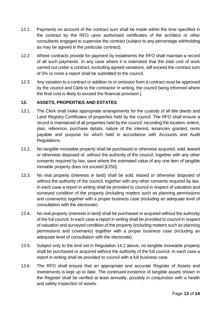- 12.1. Payments on account of the contract sum shall be made within the time specified in the contract by the RFO upon authorised certificates of the architect or other consultants engaged to supervise the contract (subject to any percentage withholding as may be agreed in the particular contract).
- 12.2. Where contracts provide for payment by instalments the RFO shall maintain a record of all such payments. In any case where it is estimated that the total cost of work carried out under a contract, excluding agreed variations, will exceed the contract sum of 5% or more a report shall be submitted to the council.
- 12.3. Any variation to a contract or addition to or omission from a contract must be approved by the council and Clerk to the contractor in writing, the council being informed where the final cost is likely to exceed the financial provision.]

## <span id="page-13-0"></span>**13. ASSETS, PROPERTIES AND ESTATES**

- 13.1. The Clerk shall make appropriate arrangements for the custody of all title deeds and Land Registry Certificates of properties held by the council. The RFO shall ensure a record is maintained of all properties held by the council, recording the location, extent, plan, reference, purchase details, nature of the interest, tenancies granted, rents payable and purpose for which held in accordance with Accounts and Audit Regulations.
- 13.2. No tangible moveable property shall be purchased or otherwise acquired, sold, leased or otherwise disposed of, without the authority of the council, together with any other consents required by law, save where the estimated value of any one item of tangible movable property does not exceed [£250].
- 13.3. No real property (interests in land) shall be sold, leased or otherwise disposed of without the authority of the council, together with any other consents required by law. In each case a report in writing shall be provided to council in respect of valuation and surveyed condition of the property (including matters such as planning permissions and covenants) together with a proper business case (including an adequate level of consultation with the electorate).
- 13.4. No real property (interests in land) shall be purchased or acquired without the authority of the full council. In each case a report in writing shall be provided to council in respect of valuation and surveyed condition of the property (including matters such as planning permissions and covenants) together with a proper business case (including an adequate level of consultation with the electorate).
- 13.5. Subject only to the limit set in Regulation 14.2 above, no tangible moveable property shall be purchased or acquired without the authority of the full council. In each case a report in writing shall be provided to council with a full business case.
- 13.6. The RFO shall ensure that an appropriate and accurate Register of Assets and Investments is kept up to date. The continued existence of tangible assets shown in the Register shall be verified at least annually, possibly in conjunction with a health and safety inspection of assets.